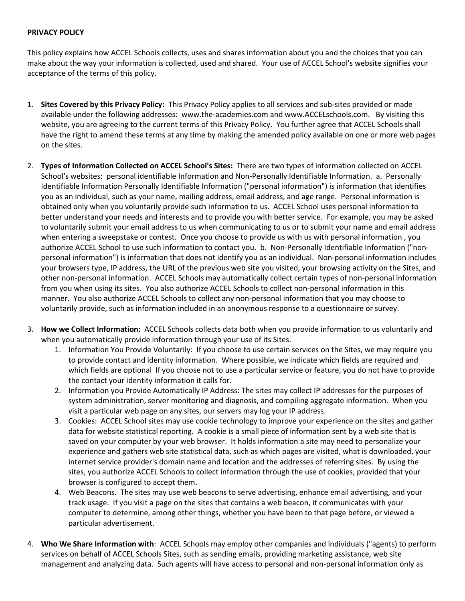## **PRIVACY POLICY**

This policy explains how ACCEL Schools collects, uses and shares information about you and the choices that you can make about the way your information is collected, used and shared. Your use of ACCEL School's website signifies your acceptance of the terms of this policy.

- 1. **Sites Covered by this Privacy Policy:** This Privacy Policy applies to all services and sub-sites provided or made available under the following addresses: www.the-academies.com and www.ACCELschools.com. By visiting this website, you are agreeing to the current terms of this Privacy Policy. You further agree that ACCEL Schools shall have the right to amend these terms at any time by making the amended policy available on one or more web pages on the sites.
- 2. **Types of Information Collected on ACCEL School's Sites:** There are two types of information collected on ACCEL School's websites: personal identifiable Information and Non-Personally Identifiable Information. a. Personally Identifiable Information Personally Identifiable Information ("personal information") is information that identifies you as an individual, such as your name, mailing address, email address, and age range. Personal information is obtained only when you voluntarily provide such information to us. ACCEL School uses personal information to better understand your needs and interests and to provide you with better service. For example, you may be asked to voluntarily submit your email address to us when communicating to us or to submit your name and email address when entering a sweepstake or contest. Once you choose to provide us with us with personal information , you authorize ACCEL School to use such information to contact you. b. Non-Personally Identifiable Information ("nonpersonal information") is information that does not identify you as an individual. Non-personal information includes your browsers type, IP address, the URL of the previous web site you visited, your browsing activity on the Sites, and other non-personal information. ACCEL Schools may automatically collect certain types of non-personal information from you when using its sites. You also authorize ACCEL Schools to collect non-personal information in this manner. You also authorize ACCEL Schools to collect any non-personal information that you may choose to voluntarily provide, such as information included in an anonymous response to a questionnaire or survey.
- 3. **How we Collect Information:** ACCEL Schools collects data both when you provide information to us voluntarily and when you automatically provide information through your use of its Sites.
	- 1. Information You Provide Voluntarily: If you choose to use certain services on the Sites, we may require you to provide contact and identity information. Where possible, we indicate which fields are required and which fields are optional If you choose not to use a particular service or feature, you do not have to provide the contact your identity information it calls for.
	- 2. Information you Provide Automatically IP Address: The sites may collect IP addresses for the purposes of system administration, server monitoring and diagnosis, and compiling aggregate information. When you visit a particular web page on any sites, our servers may log your IP address.
	- 3. Cookies: ACCEL School sites may use cookie technology to improve your experience on the sites and gather data for website statistical reporting. A cookie is a small piece of information sent by a web site that is saved on your computer by your web browser. It holds information a site may need to personalize your experience and gathers web site statistical data, such as which pages are visited, what is downloaded, your internet service provider's domain name and location and the addresses of referring sites. By using the sites, you authorize ACCEL Schools to collect information through the use of cookies, provided that your browser is configured to accept them.
	- 4. Web Beacons. The sites may use web beacons to serve advertising, enhance email advertising, and your track usage. If you visit a page on the sites that contains a web beacon, it communicates with your computer to determine, among other things, whether you have been to that page before, or viewed a particular advertisement.
- 4. **Who We Share Information with**: ACCEL Schools may employ other companies and individuals ("agents) to perform services on behalf of ACCEL Schools Sites, such as sending emails, providing marketing assistance, web site management and analyzing data. Such agents will have access to personal and non-personal information only as